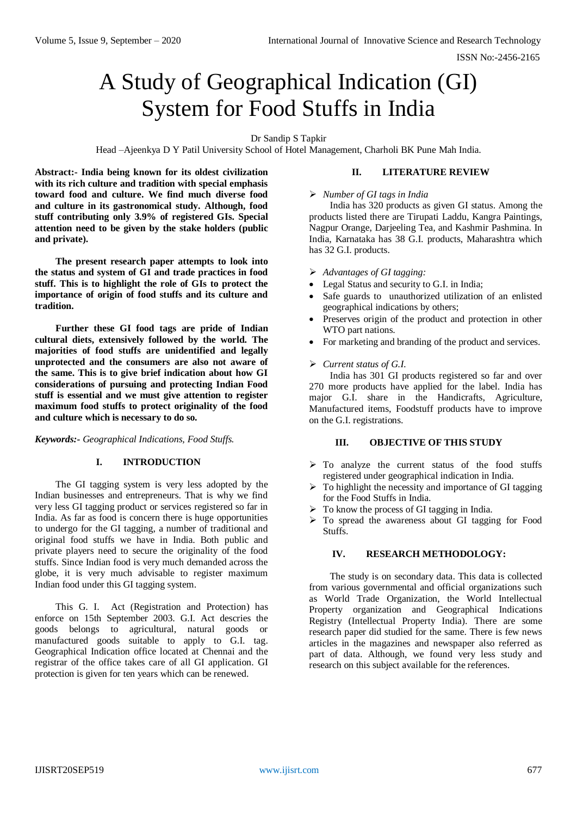ISSN No:-2456-2165

# A Study of Geographical Indication (GI) System for Food Stuffs in India

Dr Sandip S Tapkir

Head –Ajeenkya D Y Patil University School of Hotel Management, Charholi BK Pune Mah India.

**Abstract:- India being known for its oldest civilization with its rich culture and tradition with special emphasis toward food and culture. We find much diverse food and culture in its gastronomical study. Although, food stuff contributing only 3.9% of registered GIs. Special attention need to be given by the stake holders (public and private).** 

**The present research paper attempts to look into the status and system of GI and trade practices in food stuff. This is to highlight the role of GIs to protect the importance of origin of food stuffs and its culture and tradition.** 

**Further these GI food tags are pride of Indian cultural diets, extensively followed by the world. The majorities of food stuffs are unidentified and legally unprotected and the consumers are also not aware of the same. This is to give brief indication about how GI considerations of pursuing and protecting Indian Food stuff is essential and we must give attention to register maximum food stuffs to protect originality of the food and culture which is necessary to do so.**

*Keywords:- Geographical Indications, Food Stuffs.*

## **I. INTRODUCTION**

The GI tagging system is very less adopted by the Indian businesses and entrepreneurs. That is why we find very less GI tagging product or services registered so far in India. As far as food is concern there is huge opportunities to undergo for the GI tagging, a number of traditional and original food stuffs we have in India. Both public and private players need to secure the originality of the food stuffs. Since Indian food is very much demanded across the globe, it is very much advisable to register maximum Indian food under this GI tagging system.

This G. I. Act (Registration and Protection) has enforce on 15th September 2003. G.I. Act descries the goods belongs to agricultural, natural goods or manufactured goods suitable to apply to G.I. tag. Geographical Indication office located at Chennai and the registrar of the office takes care of all GI application. GI protection is given for ten years which can be renewed.

## **II. LITERATURE REVIEW**

## *Number of GI tags in India*

India has 320 products as given GI status. Among the products listed there are Tirupati Laddu, Kangra Paintings, Nagpur Orange, Darjeeling Tea, and Kashmir Pashmina. In India, Karnataka has 38 G.I. products, Maharashtra which has 32 G.I. products.

- *Advantages of GI tagging:*
- Legal Status and security to G.I. in India:
- Safe guards to unauthorized utilization of an enlisted geographical indications by others;
- Preserves origin of the product and protection in other WTO part nations.
- For marketing and branding of the product and services.
- *Current status of G.I.*

India has 301 GI products registered so far and over 270 more products have applied for the label. India has major G.I. share in the Handicrafts, Agriculture, Manufactured items, Foodstuff products have to improve on the G.I. registrations.

## **III. OBJECTIVE OF THIS STUDY**

- $\triangleright$  To analyze the current status of the food stuffs registered under geographical indication in India.
- $\triangleright$  To highlight the necessity and importance of GI tagging for the Food Stuffs in India.
- $\triangleright$  To know the process of GI tagging in India.
- $\triangleright$  To spread the awareness about GI tagging for Food Stuffs.

#### **IV. RESEARCH METHODOLOGY:**

The study is on secondary data. This data is collected from various governmental and official organizations such as World Trade Organization, the World Intellectual Property organization and Geographical Indications Registry (Intellectual Property India). There are some research paper did studied for the same. There is few news articles in the magazines and newspaper also referred as part of data. Although, we found very less study and research on this subject available for the references.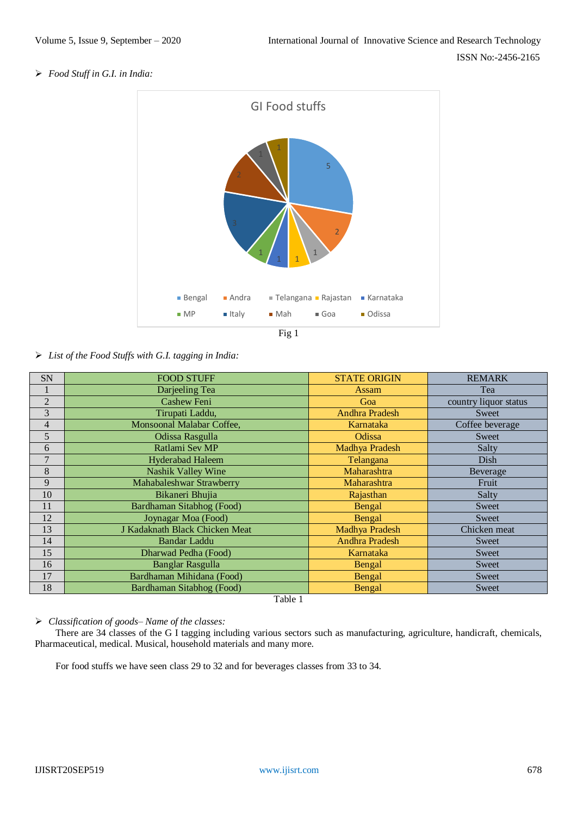*Food Stuff in G.I. in India:*



*List of the Food Stuffs with G.I. tagging in India:*

| SN             | <b>FOOD STUFF</b>              | <b>STATE ORIGIN</b>   | <b>REMARK</b>         |
|----------------|--------------------------------|-----------------------|-----------------------|
|                | Darjeeling Tea                 | <b>Assam</b>          | Tea                   |
| $\overline{2}$ | <b>Cashew Feni</b>             | Goa                   | country liquor status |
| 3              | Tirupati Laddu,                | <b>Andhra Pradesh</b> | Sweet                 |
| $\overline{4}$ | Monsoonal Malabar Coffee,      | Karnataka             | Coffee beverage       |
| 5              | Odissa Rasgulla                | Odissa                | Sweet                 |
| 6              | Ratlami Sev MP                 | Madhya Pradesh        | Salty                 |
| 7              | <b>Hyderabad Haleem</b>        | Telangana             | Dish                  |
| 8              | <b>Nashik Valley Wine</b>      | Maharashtra           | Beverage              |
| 9              | Mahabaleshwar Strawberry       | Maharashtra           | Fruit                 |
| 10             | Bikaneri Bhujia                | Rajasthan             | Salty                 |
| 11             | Bardhaman Sitabhog (Food)      | Bengal                | Sweet                 |
| 12             | Joynagar Moa (Food)            | Bengal                | Sweet                 |
| 13             | J Kadaknath Black Chicken Meat | Madhya Pradesh        | Chicken meat          |
| 14             | <b>Bandar Laddu</b>            | <b>Andhra Pradesh</b> | Sweet                 |
| 15             | Dharwad Pedha (Food)           | Karnataka             | Sweet                 |
| 16             | <b>Banglar Rasgulla</b>        | Bengal                | Sweet                 |
| 17             | Bardhaman Mihidana (Food)      | Bengal                | Sweet                 |
| 18             | Bardhaman Sitabhog (Food)      | Bengal                | Sweet                 |

Table 1

## *Classification of goods– Name of the classes:*

There are 34 classes of the G I tagging including various sectors such as manufacturing, agriculture, handicraft, chemicals, Pharmaceutical, medical. Musical, household materials and many more.

For food stuffs we have seen class 29 to 32 and for beverages classes from 33 to 34.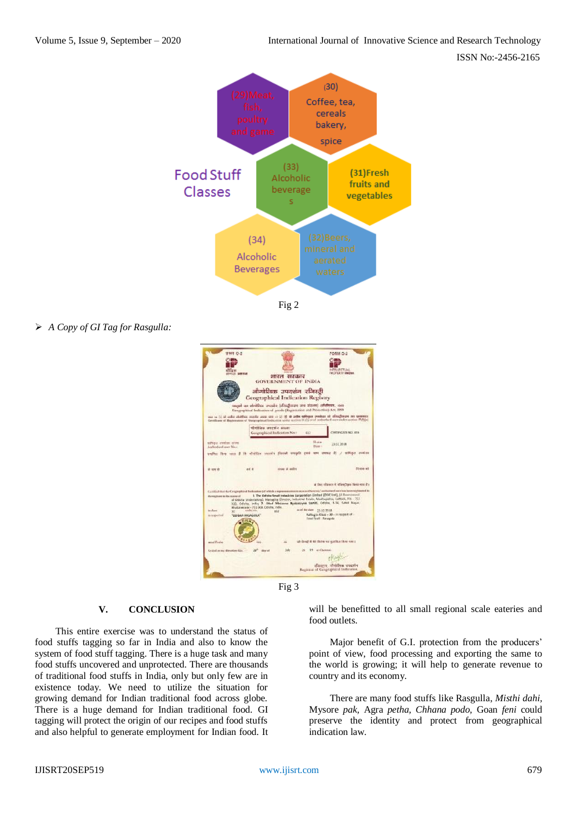ISSN No:-2456-2165



Fig 2

*A Copy of GI Tag for Rasgulla:*





## **V. CONCLUSION**

This entire exercise was to understand the status of food stuffs tagging so far in India and also to know the system of food stuff tagging. There is a huge task and many food stuffs uncovered and unprotected. There are thousands of traditional food stuffs in India, only but only few are in existence today. We need to utilize the situation for growing demand for Indian traditional food across globe. There is a huge demand for Indian traditional food. GI tagging will protect the origin of our recipes and food stuffs and also helpful to generate employment for Indian food. It will be benefitted to all small regional scale eateries and food outlets.

Major benefit of G.I. protection from the producers' point of view, food processing and exporting the same to the world is growing; it will help to generate revenue to country and its economy.

There are many food stuffs like Rasgulla, *Misthi dahi,*  Mysore *pak,* Agra *petha, Chhana podo,* Goan *feni* could preserve the identity and protect from geographical indication law.